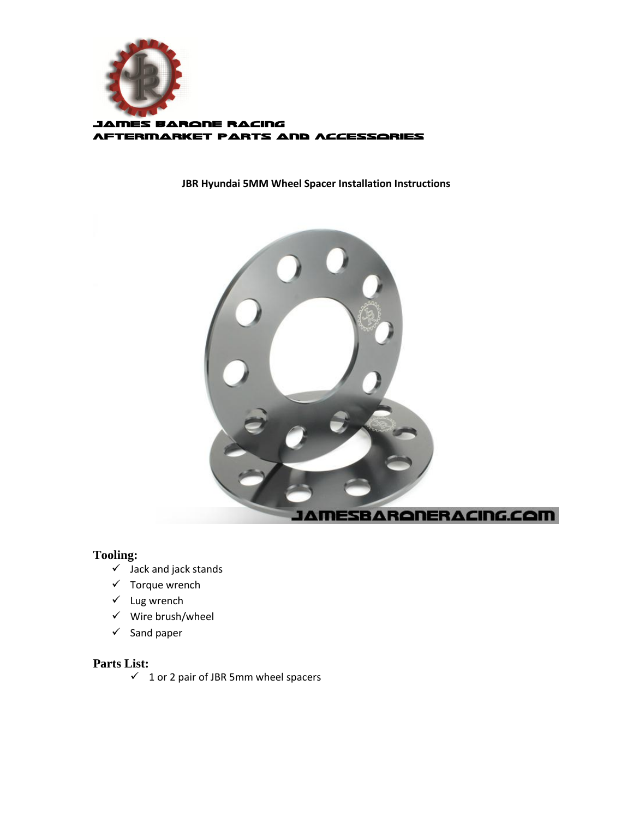

## **JBR Hyundai 5MM Wheel Spacer Installation Instructions**



## **Tooling:**

- $\checkmark$  Jack and jack stands
- $\checkmark$  Torque wrench
- $\checkmark$  Lug wrench
- $\checkmark$  Wire brush/wheel
- $\checkmark$  Sand paper

### **Parts List:**

 $\checkmark$  1 or 2 pair of JBR 5mm wheel spacers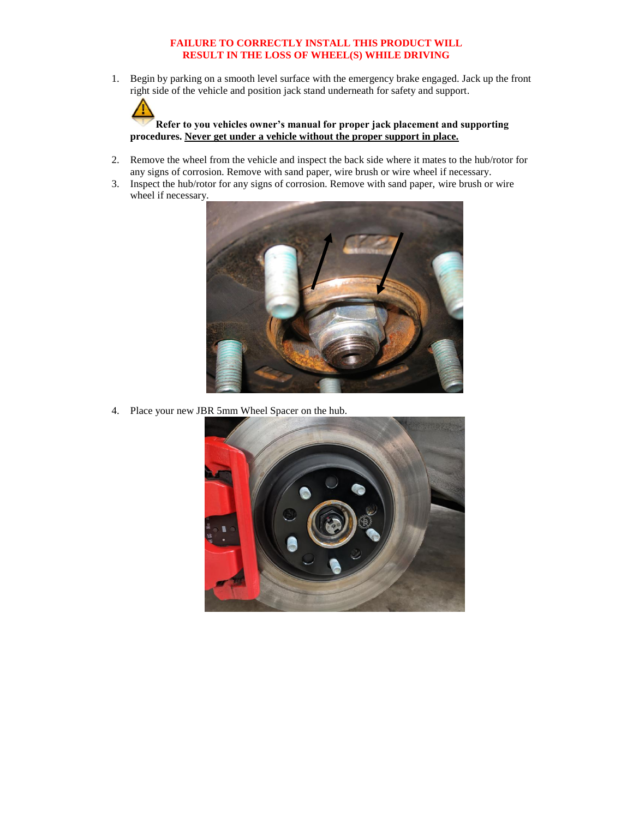#### **FAILURE TO CORRECTLY INSTALL THIS PRODUCT WILL RESULT IN THE LOSS OF WHEEL(S) WHILE DRIVING**

1. Begin by parking on a smooth level surface with the emergency brake engaged. Jack up the front right side of the vehicle and position jack stand underneath for safety and support.

**Refer to you vehicles owner's manual for proper jack placement and supporting procedures. Never get under a vehicle without the proper support in place.**

- 2. Remove the wheel from the vehicle and inspect the back side where it mates to the hub/rotor for any signs of corrosion. Remove with sand paper, wire brush or wire wheel if necessary.
- 3. Inspect the hub/rotor for any signs of corrosion. Remove with sand paper, wire brush or wire wheel if necessary.



4. Place your new JBR 5mm Wheel Spacer on the hub.